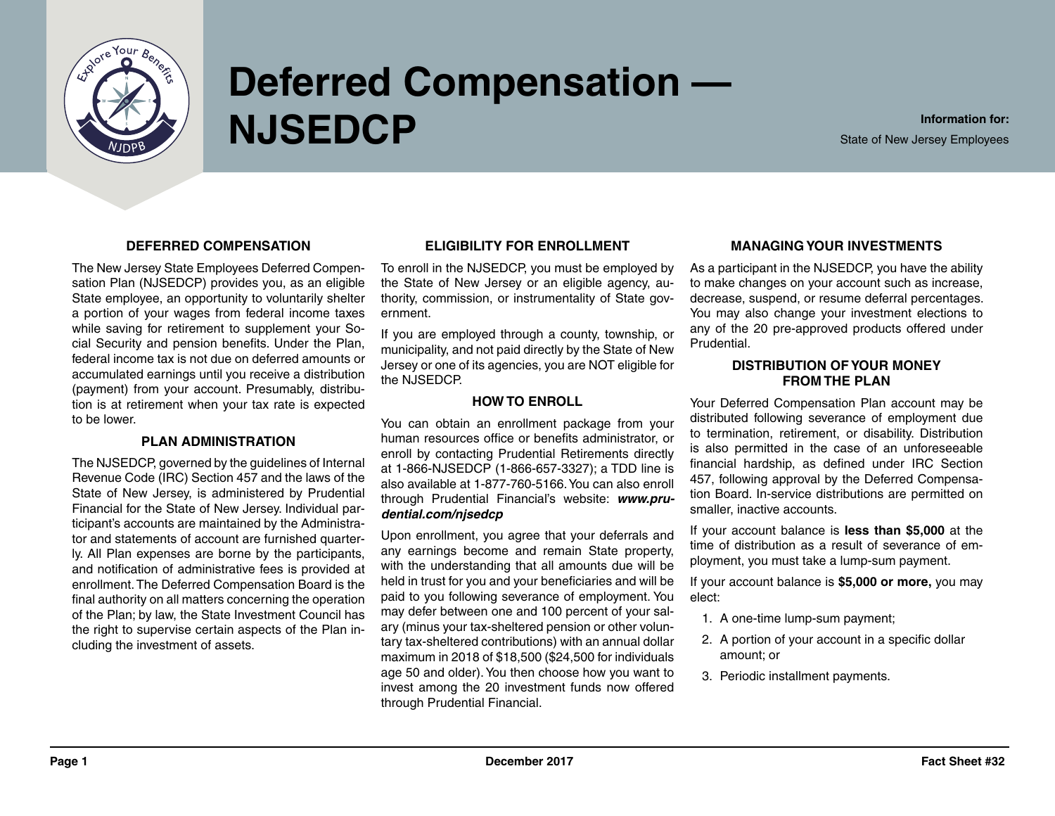

# **Deferred Compensation — NJSEDCP Information for:**

State of New Jersey Employees

### **Deferred Compensation**

The New Jersey State Employees Deferred Compensation Plan (NJSEDCP) provides you, as an eligible State employee, an opportunity to voluntarily shelter a portion of your wages from federal income taxes while saving for retirement to supplement your Social Security and pension benefits. Under the Plan, federal income tax is not due on deferred amounts or accumulated earnings until you receive a distribution (payment) from your account. Presumably, distribution is at retirement when your tax rate is expected to be lower.

## **PLAN ADministrATION**

The NJSEDCP, governed by the guidelines of Internal Revenue Code (IRC) Section 457 and the laws of the State of New Jersey, is administered by Prudential Financial for the State of New Jersey. Individual participant's accounts are maintained by the Administrator and statements of account are furnished quarterly. All Plan expenses are borne by the participants, and notification of administrative fees is provided at enrollment. The Deferred Compensation Board is the final authority on all matters concerning the operation of the Plan; by law, the State Investment Council has the right to supervise certain aspects of the Plan including the investment of assets.

# **eligibility FOR enrollMENT**

To enroll in the NJSEDCP, you must be employed by the State of New Jersey or an eligible agency, authority, commission, or instrumentality of State government.

If you are employed through a county, township, or municipality, and not paid directly by the State of New Jersey or one of its agencies, you are NOT eligible for the NJSEDCP.

#### **How To enroll**

You can obtain an enrollment package from your human resources office or benefits administrator, or enroll by contacting Prudential Retirements directly at 1-866-NJSEDCP (1-866-657-3327); a TDD line is also available at 1-877-760-5166. You can also enroll through Prudential Financial's website: *[www.pru](http://www.prudential.com/njsedcp)[dential.com/njsedcp](http://www.prudential.com/njsedcp)*

Upon enrollment, you agree that your deferrals and any earnings become and remain State property, with the understanding that all amounts due will be held in trust for you and your beneficiaries and will be paid to you following severance of employment. You may defer between one and 100 percent of your salary (minus your tax-sheltered pension or other voluntary tax-sheltered contributions) with an annual dollar maximum in 2018 of \$18,500 (\$24,500 for individuals age 50 and older). You then choose how you want to invest among the 20 investment funds now offered through Prudential Financial.

# **Managing Your Investments**

As a participant in the NJSEDCP, you have the ability to make changes on your account such as increase, decrease, suspend, or resume deferral percentages. You may also change your investment elections to any of the 20 pre-approved products offered under Prudential.

#### **DISTRIBUTION OF YOUR MONEY FROM THE PLAN**

Your Deferred Compensation Plan account may be distributed following severance of employment due to termination, retirement, or disability. Distribution is also permitted in the case of an unforeseeable financial hardship, as defined under IRC Section 457, following approval by the Deferred Compensation Board. In-service distributions are permitted on smaller, inactive accounts.

If your account balance is **less than \$5,000** at the time of distribution as a result of severance of employment, you must take a lump-sum payment.

If your account balance is **\$5,000 or more,** you may elect:

- 1. A one-time lump-sum payment;
- 2. A portion of your account in a specific dollar amount; or
- 3. Periodic installment payments.